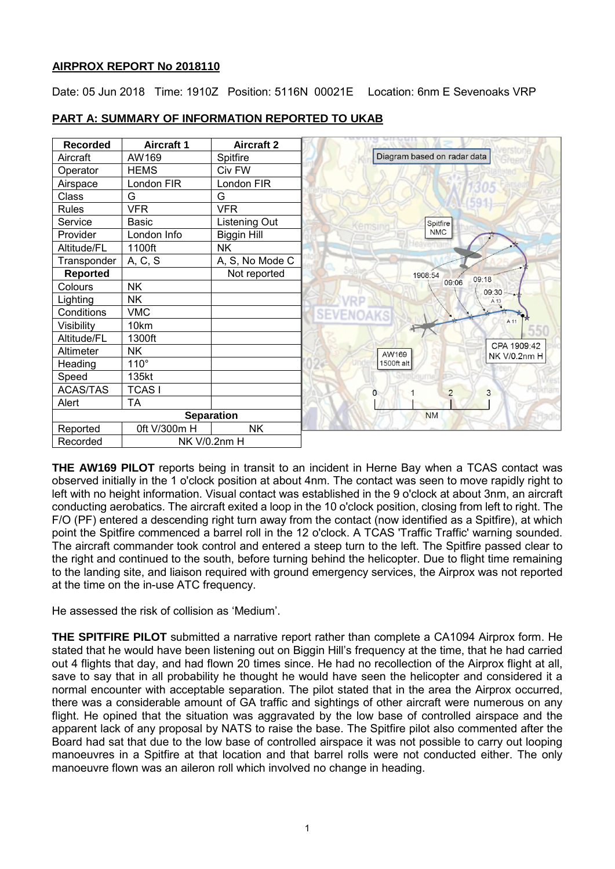# **AIRPROX REPORT No 2018110**

Date: 05 Jun 2018 Time: 1910Z Position: 5116N 00021E Location: 6nm E Sevenoaks VRP

| <b>Recorded</b>   | <b>Aircraft 1</b> | <b>Aircraft 2</b>  |                                       |
|-------------------|-------------------|--------------------|---------------------------------------|
| Aircraft          | AW169             | Spitfire           | Diagram based on radar data           |
| Operator          | <b>HEMS</b>       | Civ FW             |                                       |
| Airspace          | London FIR        | London FIR         |                                       |
| Class             | G                 | G                  |                                       |
| <b>Rules</b>      | <b>VFR</b>        | <b>VFR</b>         |                                       |
| Service           | <b>Basic</b>      | Listening Out      | Spitfire                              |
| Provider          | London Info       | <b>Biggin Hill</b> | <b>NMC</b>                            |
| Altitude/FL       | 1100ft            | <b>NK</b>          |                                       |
| Transponder       | A, C, S           | A, S, No Mode C    |                                       |
| <b>Reported</b>   |                   | Not reported       | 1908:54<br>09:18                      |
| Colours           | <b>NK</b>         |                    | 09:06<br>09:30 -                      |
| Lighting          | <b>NK</b>         |                    | $A$ 13                                |
| Conditions        | <b>VMC</b>        |                    |                                       |
| Visibility        | 10km              |                    | A 11                                  |
| Altitude/FL       | 1300ft            |                    |                                       |
| Altimeter         | <b>NK</b>         |                    | CPA 1909:42<br>AW169<br>NK V/0.2nm H  |
| Heading           | $110^\circ$       |                    | 1500ft alt                            |
| Speed             | 135kt             |                    |                                       |
| <b>ACAS/TAS</b>   | <b>TCAS1</b>      |                    | $\overline{3}$<br>$\overline{2}$<br>0 |
| Alert             | <b>TA</b>         |                    |                                       |
| <b>Separation</b> |                   |                    | <b>NM</b>                             |
| Reported          | 0ft V/300m H      | <b>NK</b>          |                                       |
| Recorded          | NK V/0.2nm H      |                    |                                       |

# **PART A: SUMMARY OF INFORMATION REPORTED TO UKAB**

**THE AW169 PILOT** reports being in transit to an incident in Herne Bay when a TCAS contact was observed initially in the 1 o'clock position at about 4nm. The contact was seen to move rapidly right to left with no height information. Visual contact was established in the 9 o'clock at about 3nm, an aircraft conducting aerobatics. The aircraft exited a loop in the 10 o'clock position, closing from left to right. The F/O (PF) entered a descending right turn away from the contact (now identified as a Spitfire), at which point the Spitfire commenced a barrel roll in the 12 o'clock. A TCAS 'Traffic Traffic' warning sounded. The aircraft commander took control and entered a steep turn to the left. The Spitfire passed clear to the right and continued to the south, before turning behind the helicopter. Due to flight time remaining to the landing site, and liaison required with ground emergency services, the Airprox was not reported at the time on the in-use ATC frequency.

He assessed the risk of collision as 'Medium'.

**THE SPITFIRE PILOT** submitted a narrative report rather than complete a CA1094 Airprox form. He stated that he would have been listening out on Biggin Hill's frequency at the time, that he had carried out 4 flights that day, and had flown 20 times since. He had no recollection of the Airprox flight at all, save to say that in all probability he thought he would have seen the helicopter and considered it a normal encounter with acceptable separation. The pilot stated that in the area the Airprox occurred, there was a considerable amount of GA traffic and sightings of other aircraft were numerous on any flight. He opined that the situation was aggravated by the low base of controlled airspace and the apparent lack of any proposal by NATS to raise the base. The Spitfire pilot also commented after the Board had sat that due to the low base of controlled airspace it was not possible to carry out looping manoeuvres in a Spitfire at that location and that barrel rolls were not conducted either. The only manoeuvre flown was an aileron roll which involved no change in heading.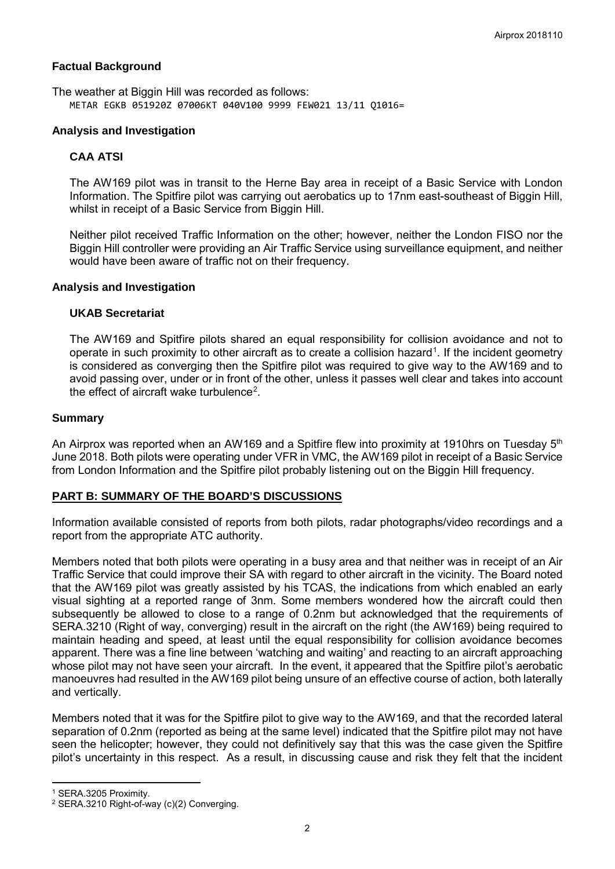# **Factual Background**

The weather at Biggin Hill was recorded as follows: METAR EGKB 051920Z 07006KT 040V100 9999 FEW021 13/11 Q1016=

# **Analysis and Investigation**

# **CAA ATSI**

The AW169 pilot was in transit to the Herne Bay area in receipt of a Basic Service with London Information. The Spitfire pilot was carrying out aerobatics up to 17nm east-southeast of Biggin Hill, whilst in receipt of a Basic Service from Biggin Hill.

Neither pilot received Traffic Information on the other; however, neither the London FISO nor the Biggin Hill controller were providing an Air Traffic Service using surveillance equipment, and neither would have been aware of traffic not on their frequency.

# **Analysis and Investigation**

# **UKAB Secretariat**

The AW169 and Spitfire pilots shared an equal responsibility for collision avoidance and not to operate in such proximity to other aircraft as to create a collision hazard<sup>[1](#page-1-0)</sup>. If the incident geometry is considered as converging then the Spitfire pilot was required to give way to the AW169 and to avoid passing over, under or in front of the other, unless it passes well clear and takes into account the effect of aircraft wake turbulence<sup>[2](#page-1-1)</sup>.

#### **Summary**

An Airprox was reported when an AW169 and a Spitfire flew into proximity at 1910hrs on Tuesday 5<sup>th</sup> June 2018. Both pilots were operating under VFR in VMC, the AW169 pilot in receipt of a Basic Service from London Information and the Spitfire pilot probably listening out on the Biggin Hill frequency.

# **PART B: SUMMARY OF THE BOARD'S DISCUSSIONS**

Information available consisted of reports from both pilots, radar photographs/video recordings and a report from the appropriate ATC authority.

Members noted that both pilots were operating in a busy area and that neither was in receipt of an Air Traffic Service that could improve their SA with regard to other aircraft in the vicinity. The Board noted that the AW169 pilot was greatly assisted by his TCAS, the indications from which enabled an early visual sighting at a reported range of 3nm. Some members wondered how the aircraft could then subsequently be allowed to close to a range of 0.2nm but acknowledged that the requirements of SERA.3210 (Right of way, converging) result in the aircraft on the right (the AW169) being required to maintain heading and speed, at least until the equal responsibility for collision avoidance becomes apparent. There was a fine line between 'watching and waiting' and reacting to an aircraft approaching whose pilot may not have seen your aircraft. In the event, it appeared that the Spitfire pilot's aerobatic manoeuvres had resulted in the AW169 pilot being unsure of an effective course of action, both laterally and vertically.

Members noted that it was for the Spitfire pilot to give way to the AW169, and that the recorded lateral separation of 0.2nm (reported as being at the same level) indicated that the Spitfire pilot may not have seen the helicopter; however, they could not definitively say that this was the case given the Spitfire pilot's uncertainty in this respect. As a result, in discussing cause and risk they felt that the incident

l

<span id="page-1-0"></span><sup>1</sup> SERA.3205 Proximity.

<span id="page-1-1"></span><sup>2</sup> SERA.3210 Right-of-way (c)(2) Converging.